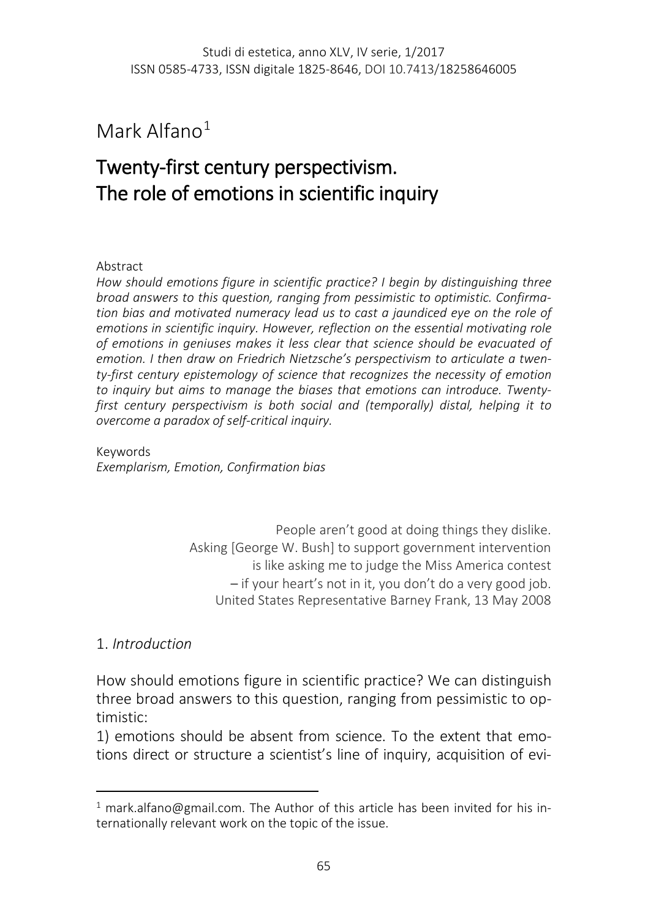Mark Alfano $1$ 

# Twenty-first century perspectivism. The role of emotions in scientific inquiry

#### Abstract

*How should emotions figure in scientific practice? I begin by distinguishing three broad answers to this question, ranging from pessimistic to optimistic. Confirmation bias and motivated numeracy lead us to cast a jaundiced eye on the role of emotions in scientific inquiry. However, reflection on the essential motivating role of emotions in geniuses makes it less clear that science should be evacuated of emotion. I then draw on Friedrich Nietzsche's perspectivism to articulate a twenty-first century epistemology of science that recognizes the necessity of emotion to inquiry but aims to manage the biases that emotions can introduce. Twentyfirst century perspectivism is both social and (temporally) distal, helping it to overcome a paradox of self-critical inquiry.*

Keywords *Exemplarism, Emotion, Confirmation bias*

> People aren't good at doing things they dislike. Asking [George W. Bush] to support government intervention is like asking me to judge the Miss America contest – if your heart's not in it, you don't do a very good job. United States Representative Barney Frank, 13 May 2008

### 1. *Introduction*

l

How should emotions figure in scientific practice? We can distinguish three broad answers to this question, ranging from pessimistic to optimistic:

1) emotions should be absent from science. To the extent that emotions direct or structure a scientist's line of inquiry, acquisition of evi-

<span id="page-0-0"></span><sup>&</sup>lt;sup>1</sup> mark.alfano@gmail.com. The Author of this article has been invited for his internationally relevant work on the topic of the issue.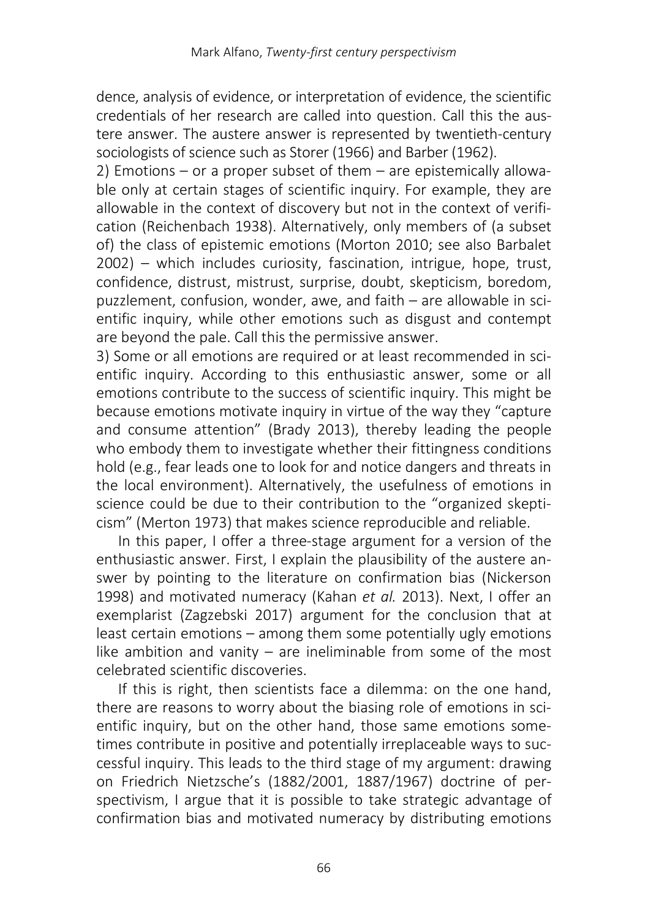dence, analysis of evidence, or interpretation of evidence, the scientific credentials of her research are called into question. Call this the austere answer. The austere answer is represented by twentieth-century sociologists of science such as Storer (1966) and Barber (1962).

2) Emotions – or a proper subset of them – are epistemically allowable only at certain stages of scientific inquiry. For example, they are allowable in the context of discovery but not in the context of verification (Reichenbach 1938). Alternatively, only members of (a subset of) the class of epistemic emotions (Morton 2010; see also Barbalet 2002) – which includes curiosity, fascination, intrigue, hope, trust, confidence, distrust, mistrust, surprise, doubt, skepticism, boredom, puzzlement, confusion, wonder, awe, and faith – are allowable in scientific inquiry, while other emotions such as disgust and contempt are beyond the pale. Call this the permissive answer.

3) Some or all emotions are required or at least recommended in scientific inquiry. According to this enthusiastic answer, some or all emotions contribute to the success of scientific inquiry. This might be because emotions motivate inquiry in virtue of the way they "capture and consume attention" (Brady 2013), thereby leading the people who embody them to investigate whether their fittingness conditions hold (e.g., fear leads one to look for and notice dangers and threats in the local environment). Alternatively, the usefulness of emotions in science could be due to their contribution to the "organized skepticism" (Merton 1973) that makes science reproducible and reliable.

In this paper, I offer a three-stage argument for a version of the enthusiastic answer. First, I explain the plausibility of the austere answer by pointing to the literature on confirmation bias (Nickerson 1998) and motivated numeracy (Kahan *et al.* 2013). Next, I offer an exemplarist (Zagzebski 2017) argument for the conclusion that at least certain emotions – among them some potentially ugly emotions like ambition and vanity – are ineliminable from some of the most celebrated scientific discoveries.

If this is right, then scientists face a dilemma: on the one hand, there are reasons to worry about the biasing role of emotions in scientific inquiry, but on the other hand, those same emotions sometimes contribute in positive and potentially irreplaceable ways to successful inquiry. This leads to the third stage of my argument: drawing on Friedrich Nietzsche's (1882/2001, 1887/1967) doctrine of perspectivism, I argue that it is possible to take strategic advantage of confirmation bias and motivated numeracy by distributing emotions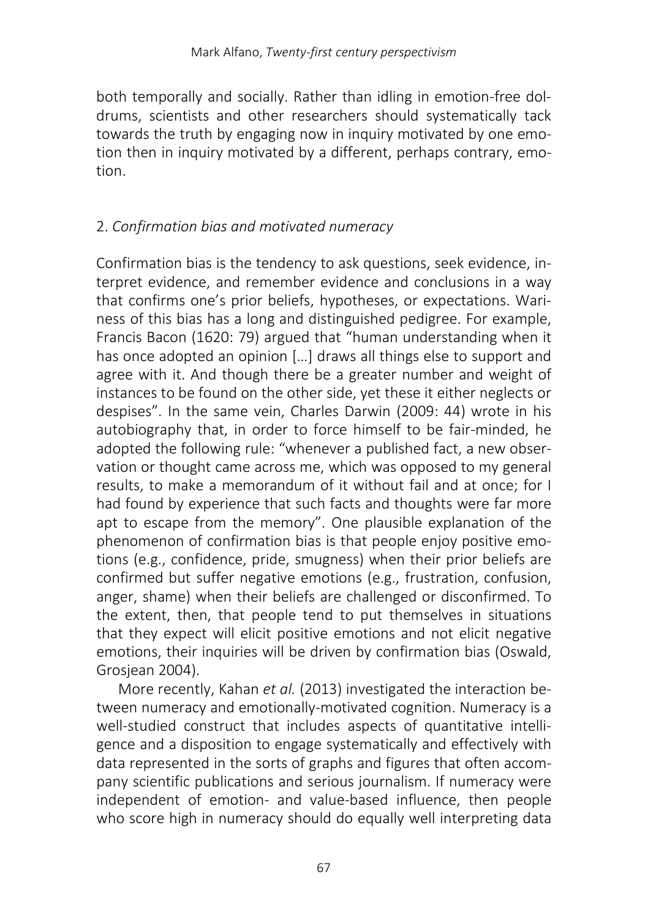both temporally and socially. Rather than idling in emotion-free doldrums, scientists and other researchers should systematically tack towards the truth by engaging now in inquiry motivated by one emotion then in inquiry motivated by a different, perhaps contrary, emotion.

# 2. *Confirmation bias and motivated numeracy*

Confirmation bias is the tendency to ask questions, seek evidence, interpret evidence, and remember evidence and conclusions in a way that confirms one's prior beliefs, hypotheses, or expectations. Wariness of this bias has a long and distinguished pedigree. For example, Francis Bacon (1620: 79) argued that "human understanding when it has once adopted an opinion [...] draws all things else to support and agree with it. And though there be a greater number and weight of instances to be found on the other side, yet these it either neglects or despises". In the same vein, Charles Darwin (2009: 44) wrote in his autobiography that, in order to force himself to be fair-minded, he adopted the following rule: "whenever a published fact, a new observation or thought came across me, which was opposed to my general results, to make a memorandum of it without fail and at once; for I had found by experience that such facts and thoughts were far more apt to escape from the memory". One plausible explanation of the phenomenon of confirmation bias is that people enjoy positive emotions (e.g., confidence, pride, smugness) when their prior beliefs are confirmed but suffer negative emotions (e.g., frustration, confusion, anger, shame) when their beliefs are challenged or disconfirmed. To the extent, then, that people tend to put themselves in situations that they expect will elicit positive emotions and not elicit negative emotions, their inquiries will be driven by confirmation bias (Oswald, Grosjean 2004).

More recently, Kahan *et al.* (2013) investigated the interaction between numeracy and emotionally-motivated cognition. Numeracy is a well-studied construct that includes aspects of quantitative intelligence and a disposition to engage systematically and effectively with data represented in the sorts of graphs and figures that often accompany scientific publications and serious journalism. If numeracy were independent of emotion- and value-based influence, then people who score high in numeracy should do equally well interpreting data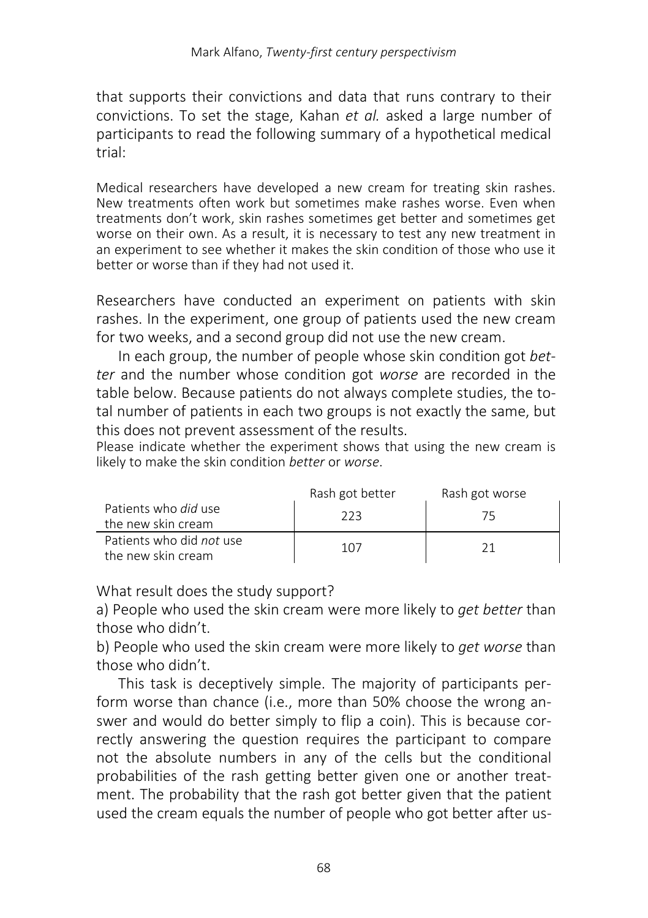that supports their convictions and data that runs contrary to their convictions. To set the stage, Kahan *et al.* asked a large number of participants to read the following summary of a hypothetical medical trial:

Medical researchers have developed a new cream for treating skin rashes. New treatments often work but sometimes make rashes worse. Even when treatments don't work, skin rashes sometimes get better and sometimes get worse on their own. As a result, it is necessary to test any new treatment in an experiment to see whether it makes the skin condition of those who use it better or worse than if they had not used it.

Researchers have conducted an experiment on patients with skin rashes. In the experiment, one group of patients used the new cream for two weeks, and a second group did not use the new cream.

In each group, the number of people whose skin condition got *better* and the number whose condition got *worse* are recorded in the table below. Because patients do not always complete studies, the total number of patients in each two groups is not exactly the same, but this does not prevent assessment of the results.

Please indicate whether the experiment shows that using the new cream is likely to make the skin condition *better* or *worse*.

|                                                   | Rash got better | Rash got worse |
|---------------------------------------------------|-----------------|----------------|
| Patients who <i>did</i> use<br>the new skin cream | ววว             |                |
| Patients who did not use<br>the new skin cream    | 107             |                |

What result does the study support?

a) People who used the skin cream were more likely to *get better* than those who didn't.

b) People who used the skin cream were more likely to *get worse* than those who didn't.

This task is deceptively simple. The majority of participants perform worse than chance (i.e., more than 50% choose the wrong answer and would do better simply to flip a coin). This is because correctly answering the question requires the participant to compare not the absolute numbers in any of the cells but the conditional probabilities of the rash getting better given one or another treatment. The probability that the rash got better given that the patient used the cream equals the number of people who got better after us-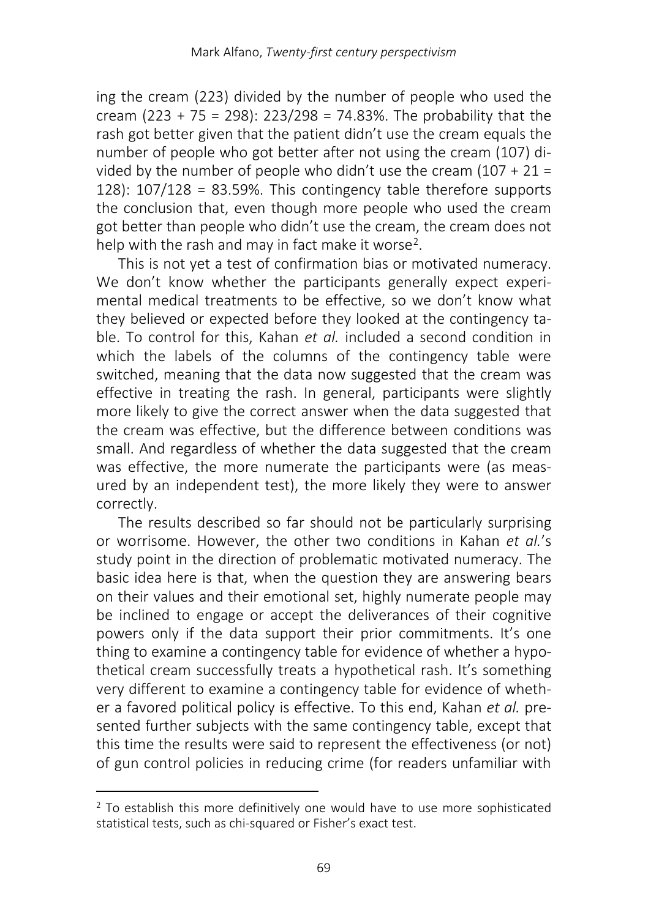ing the cream (223) divided by the number of people who used the cream (223 + 75 = 298): 223/298 = 74.83%. The probability that the rash got better given that the patient didn't use the cream equals the number of people who got better after not using the cream (107) divided by the number of people who didn't use the cream  $(107 + 21 =$ 128): 107/128 = 83.59%. This contingency table therefore supports the conclusion that, even though more people who used the cream got better than people who didn't use the cream, the cream does not help with the rash and may in fact make it worse<sup>[2](#page-4-0)</sup>.

This is not yet a test of confirmation bias or motivated numeracy. We don't know whether the participants generally expect experimental medical treatments to be effective, so we don't know what they believed or expected before they looked at the contingency table. To control for this, Kahan *et al.* included a second condition in which the labels of the columns of the contingency table were switched, meaning that the data now suggested that the cream was effective in treating the rash. In general, participants were slightly more likely to give the correct answer when the data suggested that the cream was effective, but the difference between conditions was small. And regardless of whether the data suggested that the cream was effective, the more numerate the participants were (as measured by an independent test), the more likely they were to answer correctly.

The results described so far should not be particularly surprising or worrisome. However, the other two conditions in Kahan *et al.*'s study point in the direction of problematic motivated numeracy. The basic idea here is that, when the question they are answering bears on their values and their emotional set, highly numerate people may be inclined to engage or accept the deliverances of their cognitive powers only if the data support their prior commitments. It's one thing to examine a contingency table for evidence of whether a hypothetical cream successfully treats a hypothetical rash. It's something very different to examine a contingency table for evidence of whether a favored political policy is effective. To this end, Kahan *et al.* presented further subjects with the same contingency table, except that this time the results were said to represent the effectiveness (or not) of gun control policies in reducing crime (for readers unfamiliar with

l

<span id="page-4-0"></span><sup>&</sup>lt;sup>2</sup> To establish this more definitively one would have to use more sophisticated statistical tests, such as chi-squared or Fisher's exact test.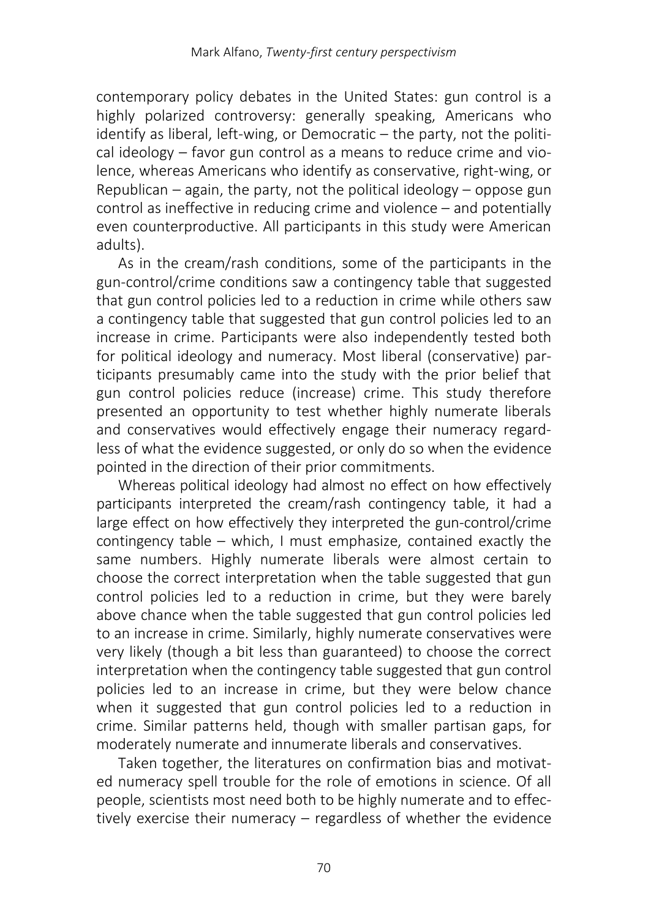contemporary policy debates in the United States: gun control is a highly polarized controversy: generally speaking, Americans who identify as liberal, left-wing, or Democratic – the party, not the political ideology – favor gun control as a means to reduce crime and violence, whereas Americans who identify as conservative, right-wing, or Republican – again, the party, not the political ideology – oppose gun control as ineffective in reducing crime and violence – and potentially even counterproductive. All participants in this study were American adults).

As in the cream/rash conditions, some of the participants in the gun-control/crime conditions saw a contingency table that suggested that gun control policies led to a reduction in crime while others saw a contingency table that suggested that gun control policies led to an increase in crime. Participants were also independently tested both for political ideology and numeracy. Most liberal (conservative) participants presumably came into the study with the prior belief that gun control policies reduce (increase) crime. This study therefore presented an opportunity to test whether highly numerate liberals and conservatives would effectively engage their numeracy regardless of what the evidence suggested, or only do so when the evidence pointed in the direction of their prior commitments.

Whereas political ideology had almost no effect on how effectively participants interpreted the cream/rash contingency table, it had a large effect on how effectively they interpreted the gun-control/crime contingency table – which, I must emphasize, contained exactly the same numbers. Highly numerate liberals were almost certain to choose the correct interpretation when the table suggested that gun control policies led to a reduction in crime, but they were barely above chance when the table suggested that gun control policies led to an increase in crime. Similarly, highly numerate conservatives were very likely (though a bit less than guaranteed) to choose the correct interpretation when the contingency table suggested that gun control policies led to an increase in crime, but they were below chance when it suggested that gun control policies led to a reduction in crime. Similar patterns held, though with smaller partisan gaps, for moderately numerate and innumerate liberals and conservatives.

Taken together, the literatures on confirmation bias and motivated numeracy spell trouble for the role of emotions in science. Of all people, scientists most need both to be highly numerate and to effectively exercise their numeracy – regardless of whether the evidence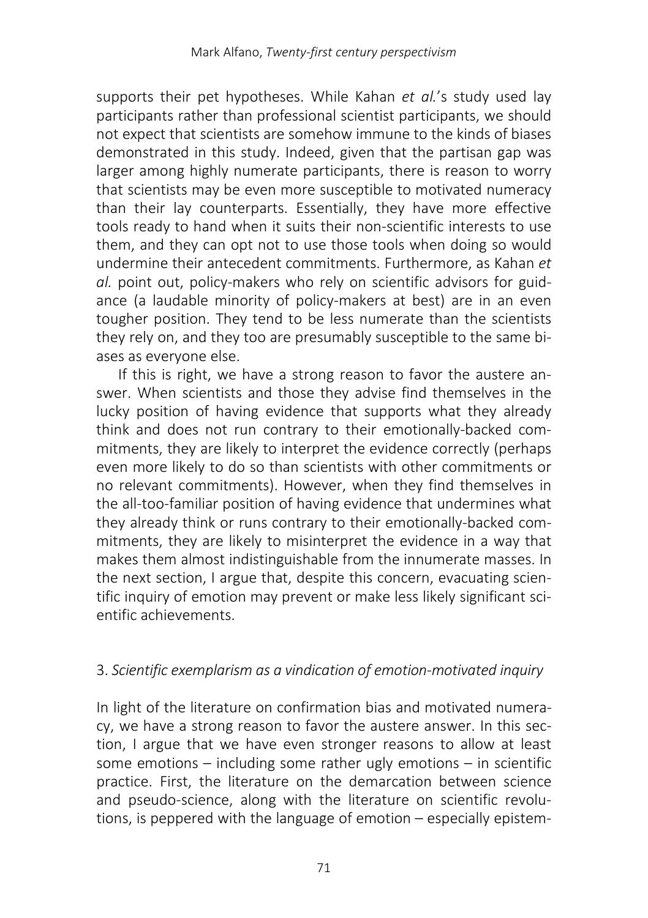supports their pet hypotheses. While Kahan *et al.*'s study used lay participants rather than professional scientist participants, we should not expect that scientists are somehow immune to the kinds of biases demonstrated in this study. Indeed, given that the partisan gap was larger among highly numerate participants, there is reason to worry that scientists may be even more susceptible to motivated numeracy than their lay counterparts. Essentially, they have more effective tools ready to hand when it suits their non-scientific interests to use them, and they can opt not to use those tools when doing so would undermine their antecedent commitments. Furthermore, as Kahan *et al.* point out, policy-makers who rely on scientific advisors for guidance (a laudable minority of policy-makers at best) are in an even tougher position. They tend to be less numerate than the scientists they rely on, and they too are presumably susceptible to the same biases as everyone else.

If this is right, we have a strong reason to favor the austere answer. When scientists and those they advise find themselves in the lucky position of having evidence that supports what they already think and does not run contrary to their emotionally-backed commitments, they are likely to interpret the evidence correctly (perhaps even more likely to do so than scientists with other commitments or no relevant commitments). However, when they find themselves in the all-too-familiar position of having evidence that undermines what they already think or runs contrary to their emotionally-backed commitments, they are likely to misinterpret the evidence in a way that makes them almost indistinguishable from the innumerate masses. In the next section, I argue that, despite this concern, evacuating scientific inquiry of emotion may prevent or make less likely significant scientific achievements.

## 3. *Scientific exemplarism as a vindication of emotion-motivated inquiry*

In light of the literature on confirmation bias and motivated numeracy, we have a strong reason to favor the austere answer. In this section, I argue that we have even stronger reasons to allow at least some emotions – including some rather ugly emotions – in scientific practice. First, the literature on the demarcation between science and pseudo-science, along with the literature on scientific revolutions, is peppered with the language of emotion – especially epistem-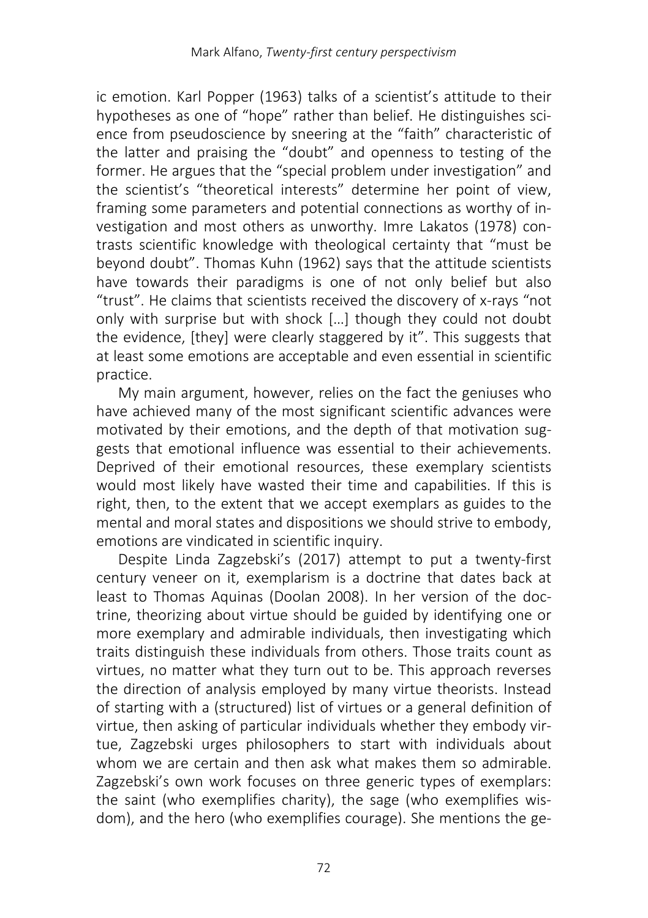ic emotion. Karl Popper (1963) talks of a scientist's attitude to their hypotheses as one of "hope" rather than belief. He distinguishes science from pseudoscience by sneering at the "faith" characteristic of the latter and praising the "doubt" and openness to testing of the former. He argues that the "special problem under investigation" and the scientist's "theoretical interests" determine her point of view, framing some parameters and potential connections as worthy of investigation and most others as unworthy. Imre Lakatos (1978) contrasts scientific knowledge with theological certainty that "must be beyond doubt". Thomas Kuhn (1962) says that the attitude scientists have towards their paradigms is one of not only belief but also "trust". He claims that scientists received the discovery of x-rays "not only with surprise but with shock […] though they could not doubt the evidence, [they] were clearly staggered by it". This suggests that at least some emotions are acceptable and even essential in scientific practice.

My main argument, however, relies on the fact the geniuses who have achieved many of the most significant scientific advances were motivated by their emotions, and the depth of that motivation suggests that emotional influence was essential to their achievements. Deprived of their emotional resources, these exemplary scientists would most likely have wasted their time and capabilities. If this is right, then, to the extent that we accept exemplars as guides to the mental and moral states and dispositions we should strive to embody, emotions are vindicated in scientific inquiry.

Despite Linda Zagzebski's (2017) attempt to put a twenty-first century veneer on it, exemplarism is a doctrine that dates back at least to Thomas Aquinas (Doolan 2008). In her version of the doctrine, theorizing about virtue should be guided by identifying one or more exemplary and admirable individuals, then investigating which traits distinguish these individuals from others. Those traits count as virtues, no matter what they turn out to be. This approach reverses the direction of analysis employed by many virtue theorists. Instead of starting with a (structured) list of virtues or a general definition of virtue, then asking of particular individuals whether they embody virtue, Zagzebski urges philosophers to start with individuals about whom we are certain and then ask what makes them so admirable. Zagzebski's own work focuses on three generic types of exemplars: the saint (who exemplifies charity), the sage (who exemplifies wisdom), and the hero (who exemplifies courage). She mentions the ge-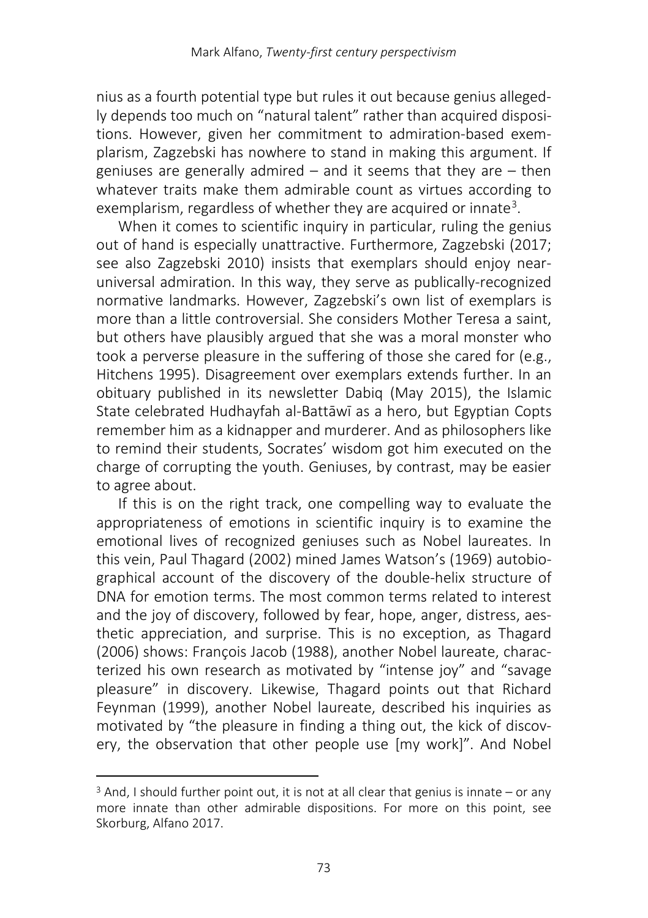nius as a fourth potential type but rules it out because genius allegedly depends too much on "natural talent" rather than acquired dispositions. However, given her commitment to admiration-based exemplarism, Zagzebski has nowhere to stand in making this argument. If geniuses are generally admired – and it seems that they are – then whatever traits make them admirable count as virtues according to exemplarism, regardless of whether they are acquired or innate<sup>[3](#page-8-0)</sup>.

When it comes to scientific inquiry in particular, ruling the genius out of hand is especially unattractive. Furthermore, Zagzebski (2017; see also Zagzebski 2010) insists that exemplars should enjoy nearuniversal admiration. In this way, they serve as publically-recognized normative landmarks. However, Zagzebski's own list of exemplars is more than a little controversial. She considers Mother Teresa a saint, but others have plausibly argued that she was a moral monster who took a perverse pleasure in the suffering of those she cared for (e.g., Hitchens 1995). Disagreement over exemplars extends further. In an obituary published in its newsletter Dabiq (May 2015), the Islamic State celebrated Hudhayfah al-Battāwī as a hero, but Egyptian Copts remember him as a kidnapper and murderer. And as philosophers like to remind their students, Socrates' wisdom got him executed on the charge of corrupting the youth. Geniuses, by contrast, may be easier to agree about.

If this is on the right track, one compelling way to evaluate the appropriateness of emotions in scientific inquiry is to examine the emotional lives of recognized geniuses such as Nobel laureates. In this vein, Paul Thagard (2002) mined James Watson's (1969) autobiographical account of the discovery of the double-helix structure of DNA for emotion terms. The most common terms related to interest and the joy of discovery, followed by fear, hope, anger, distress, aesthetic appreciation, and surprise. This is no exception, as Thagard (2006) shows: François Jacob (1988), another Nobel laureate, characterized his own research as motivated by "intense joy" and "savage pleasure" in discovery. Likewise, Thagard points out that Richard Feynman (1999), another Nobel laureate, described his inquiries as motivated by "the pleasure in finding a thing out, the kick of discovery, the observation that other people use [my work]". And Nobel

 $\overline{\phantom{a}}$ 

<span id="page-8-0"></span> $3$  And, I should further point out, it is not at all clear that genius is innate – or any more innate than other admirable dispositions. For more on this point, see Skorburg, Alfano 2017.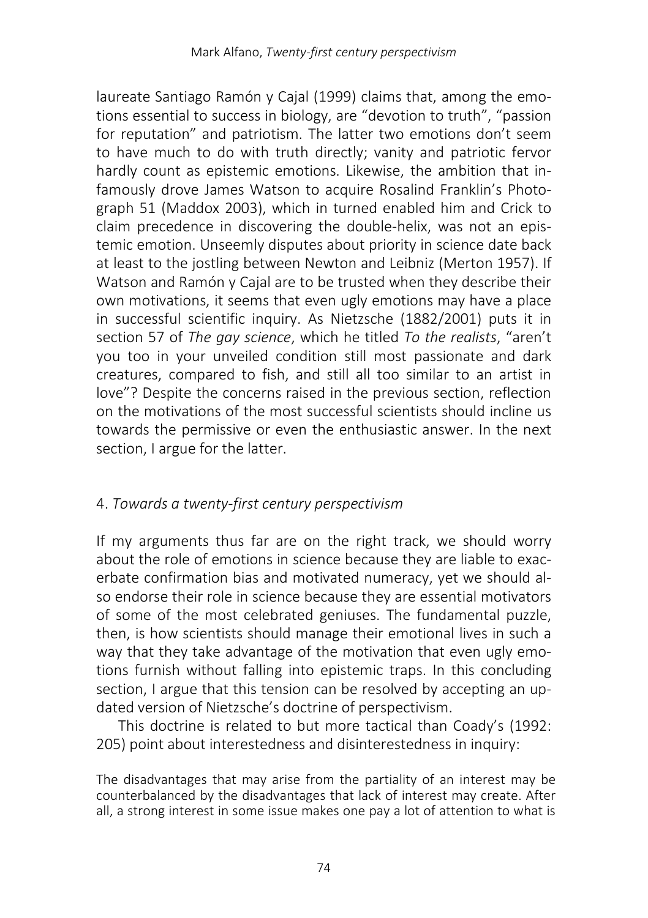laureate Santiago Ramón y Cajal (1999) claims that, among the emotions essential to success in biology, are "devotion to truth", "passion for reputation" and patriotism. The latter two emotions don't seem to have much to do with truth directly; vanity and patriotic fervor hardly count as epistemic emotions. Likewise, the ambition that infamously drove James Watson to acquire Rosalind Franklin's Photograph 51 (Maddox 2003), which in turned enabled him and Crick to claim precedence in discovering the double-helix, was not an epistemic emotion. Unseemly disputes about priority in science date back at least to the jostling between Newton and Leibniz (Merton 1957). If Watson and Ramón y Cajal are to be trusted when they describe their own motivations, it seems that even ugly emotions may have a place in successful scientific inquiry. As Nietzsche (1882/2001) puts it in section 57 of *The gay science*, which he titled *To the realists*, "aren't you too in your unveiled condition still most passionate and dark creatures, compared to fish, and still all too similar to an artist in love"? Despite the concerns raised in the previous section, reflection on the motivations of the most successful scientists should incline us towards the permissive or even the enthusiastic answer. In the next section, I argue for the latter.

## 4. *Towards a twenty-first century perspectivism*

If my arguments thus far are on the right track, we should worry about the role of emotions in science because they are liable to exacerbate confirmation bias and motivated numeracy, yet we should also endorse their role in science because they are essential motivators of some of the most celebrated geniuses. The fundamental puzzle, then, is how scientists should manage their emotional lives in such a way that they take advantage of the motivation that even ugly emotions furnish without falling into epistemic traps. In this concluding section, I argue that this tension can be resolved by accepting an updated version of Nietzsche's doctrine of perspectivism.

This doctrine is related to but more tactical than Coady's (1992: 205) point about interestedness and disinterestedness in inquiry:

The disadvantages that may arise from the partiality of an interest may be counterbalanced by the disadvantages that lack of interest may create. After all, a strong interest in some issue makes one pay a lot of attention to what is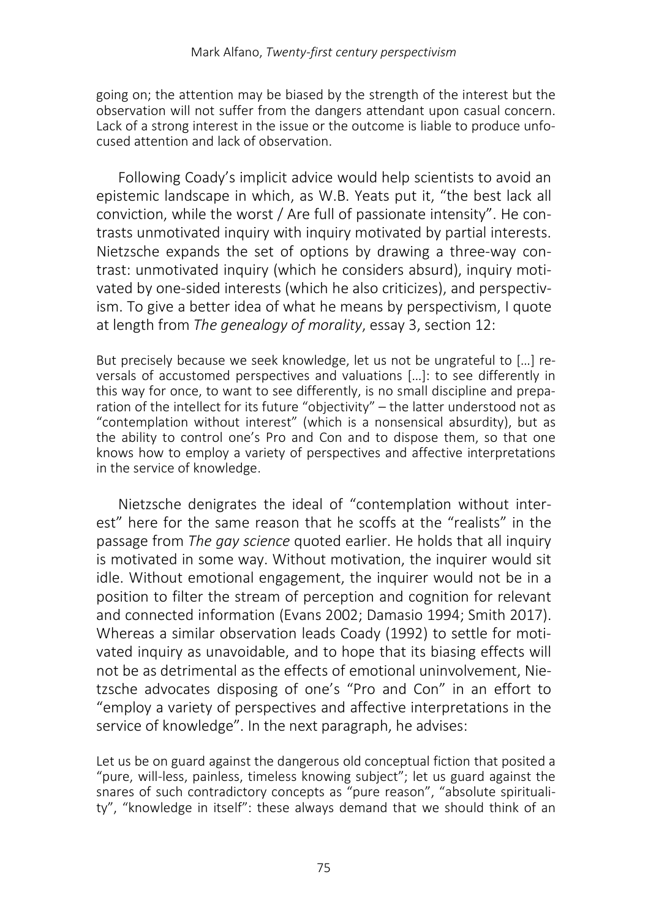going on; the attention may be biased by the strength of the interest but the observation will not suffer from the dangers attendant upon casual concern. Lack of a strong interest in the issue or the outcome is liable to produce unfocused attention and lack of observation.

Following Coady's implicit advice would help scientists to avoid an epistemic landscape in which, as W.B. Yeats put it, "the best lack all conviction, while the worst / Are full of passionate intensity". He contrasts unmotivated inquiry with inquiry motivated by partial interests. Nietzsche expands the set of options by drawing a three-way contrast: unmotivated inquiry (which he considers absurd), inquiry motivated by one-sided interests (which he also criticizes), and perspectivism. To give a better idea of what he means by perspectivism, I quote at length from *The genealogy of morality*, essay 3, section 12:

But precisely because we seek knowledge, let us not be ungrateful to […] reversals of accustomed perspectives and valuations […]: to see differently in this way for once, to want to see differently, is no small discipline and preparation of the intellect for its future "objectivity" – the latter understood not as "contemplation without interest" (which is a nonsensical absurdity), but as the ability to control one's Pro and Con and to dispose them, so that one knows how to employ a variety of perspectives and affective interpretations in the service of knowledge.

Nietzsche denigrates the ideal of "contemplation without interest" here for the same reason that he scoffs at the "realists" in the passage from *The gay science* quoted earlier. He holds that all inquiry is motivated in some way. Without motivation, the inquirer would sit idle. Without emotional engagement, the inquirer would not be in a position to filter the stream of perception and cognition for relevant and connected information (Evans 2002; Damasio 1994; Smith 2017). Whereas a similar observation leads Coady (1992) to settle for motivated inquiry as unavoidable, and to hope that its biasing effects will not be as detrimental as the effects of emotional uninvolvement, Nietzsche advocates disposing of one's "Pro and Con" in an effort to "employ a variety of perspectives and affective interpretations in the service of knowledge". In the next paragraph, he advises:

Let us be on guard against the dangerous old conceptual fiction that posited a "pure, will-less, painless, timeless knowing subject"; let us guard against the snares of such contradictory concepts as "pure reason", "absolute spirituality", "knowledge in itself": these always demand that we should think of an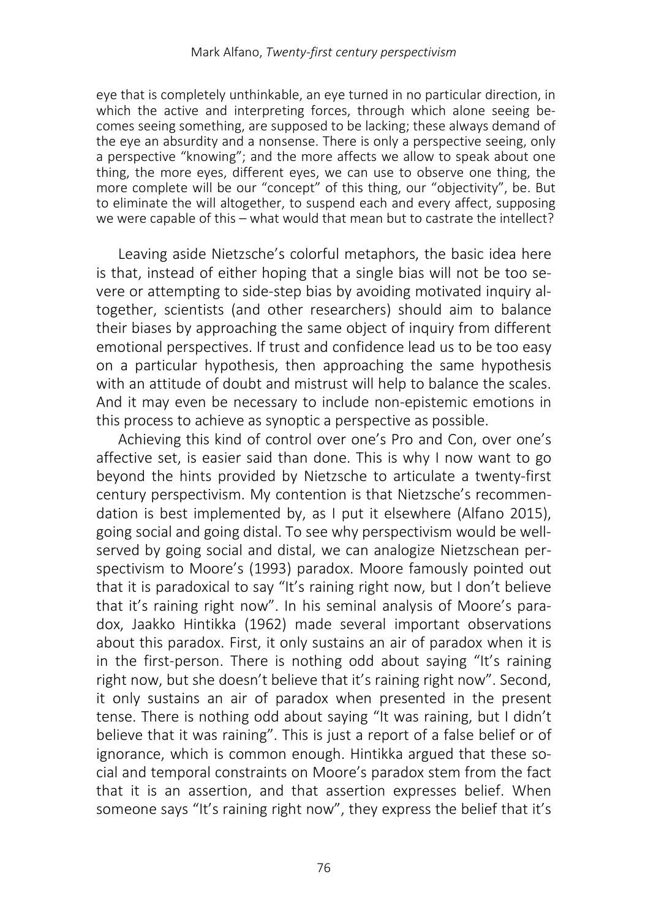eye that is completely unthinkable, an eye turned in no particular direction, in which the active and interpreting forces, through which alone seeing becomes seeing something, are supposed to be lacking; these always demand of the eye an absurdity and a nonsense. There is only a perspective seeing, only a perspective "knowing"; and the more affects we allow to speak about one thing, the more eyes, different eyes, we can use to observe one thing, the more complete will be our "concept" of this thing, our "objectivity", be. But to eliminate the will altogether, to suspend each and every affect, supposing we were capable of this – what would that mean but to castrate the intellect?

Leaving aside Nietzsche's colorful metaphors, the basic idea here is that, instead of either hoping that a single bias will not be too severe or attempting to side-step bias by avoiding motivated inquiry altogether, scientists (and other researchers) should aim to balance their biases by approaching the same object of inquiry from different emotional perspectives. If trust and confidence lead us to be too easy on a particular hypothesis, then approaching the same hypothesis with an attitude of doubt and mistrust will help to balance the scales. And it may even be necessary to include non-epistemic emotions in this process to achieve as synoptic a perspective as possible.

Achieving this kind of control over one's Pro and Con, over one's affective set, is easier said than done. This is why I now want to go beyond the hints provided by Nietzsche to articulate a twenty-first century perspectivism. My contention is that Nietzsche's recommendation is best implemented by, as I put it elsewhere (Alfano 2015), going social and going distal. To see why perspectivism would be wellserved by going social and distal, we can analogize Nietzschean perspectivism to Moore's (1993) paradox. Moore famously pointed out that it is paradoxical to say "It's raining right now, but I don't believe that it's raining right now". In his seminal analysis of Moore's paradox, Jaakko Hintikka (1962) made several important observations about this paradox. First, it only sustains an air of paradox when it is in the first-person. There is nothing odd about saying "It's raining right now, but she doesn't believe that it's raining right now". Second, it only sustains an air of paradox when presented in the present tense. There is nothing odd about saying "It was raining, but I didn't believe that it was raining". This is just a report of a false belief or of ignorance, which is common enough. Hintikka argued that these social and temporal constraints on Moore's paradox stem from the fact that it is an assertion, and that assertion expresses belief. When someone says "It's raining right now", they express the belief that it's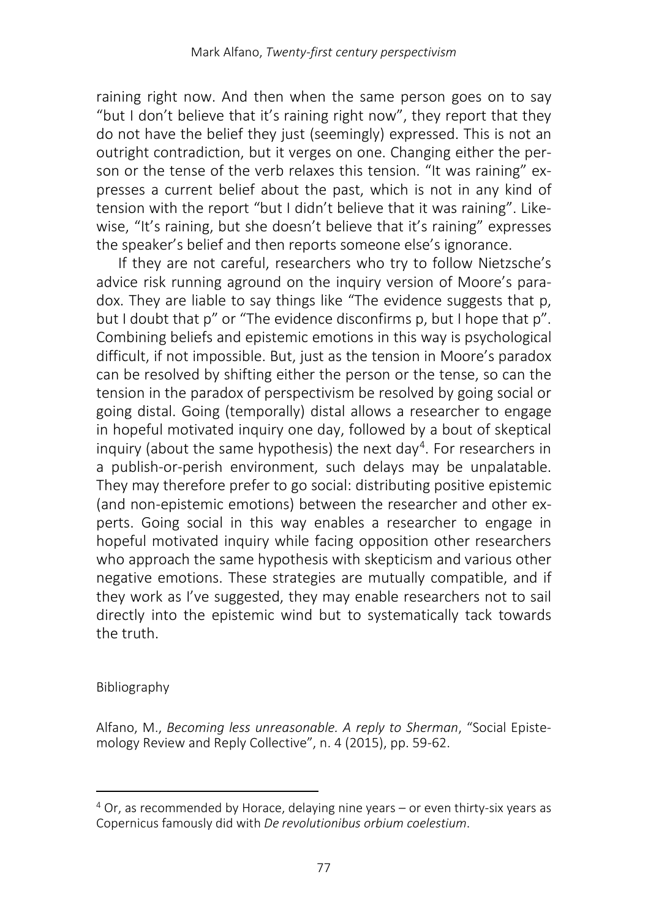raining right now. And then when the same person goes on to say "but I don't believe that it's raining right now", they report that they do not have the belief they just (seemingly) expressed. This is not an outright contradiction, but it verges on one. Changing either the person or the tense of the verb relaxes this tension. "It was raining" expresses a current belief about the past, which is not in any kind of tension with the report "but I didn't believe that it was raining". Likewise, "It's raining, but she doesn't believe that it's raining" expresses the speaker's belief and then reports someone else's ignorance.

If they are not careful, researchers who try to follow Nietzsche's advice risk running aground on the inquiry version of Moore's paradox. They are liable to say things like "The evidence suggests that p, but I doubt that p" or "The evidence disconfirms p, but I hope that p". Combining beliefs and epistemic emotions in this way is psychological difficult, if not impossible. But, just as the tension in Moore's paradox can be resolved by shifting either the person or the tense, so can the tension in the paradox of perspectivism be resolved by going social or going distal. Going (temporally) distal allows a researcher to engage in hopeful motivated inquiry one day, followed by a bout of skeptical inquiry (about the same hypothesis) the next day<sup>[4](#page-12-0)</sup>. For researchers in a publish-or-perish environment, such delays may be unpalatable. They may therefore prefer to go social: distributing positive epistemic (and non-epistemic emotions) between the researcher and other experts. Going social in this way enables a researcher to engage in hopeful motivated inquiry while facing opposition other researchers who approach the same hypothesis with skepticism and various other negative emotions. These strategies are mutually compatible, and if they work as I've suggested, they may enable researchers not to sail directly into the epistemic wind but to systematically tack towards the truth.

#### Bibliography

l

Alfano, M., *Becoming less unreasonable. A reply to Sherman*, "Social Epistemology Review and Reply Collective", n. 4 (2015), pp. 59-62.

<span id="page-12-0"></span><sup>4</sup> Or, as recommended by Horace, delaying nine years – or even thirty-six years as Copernicus famously did with *De revolutionibus orbium coelestium*.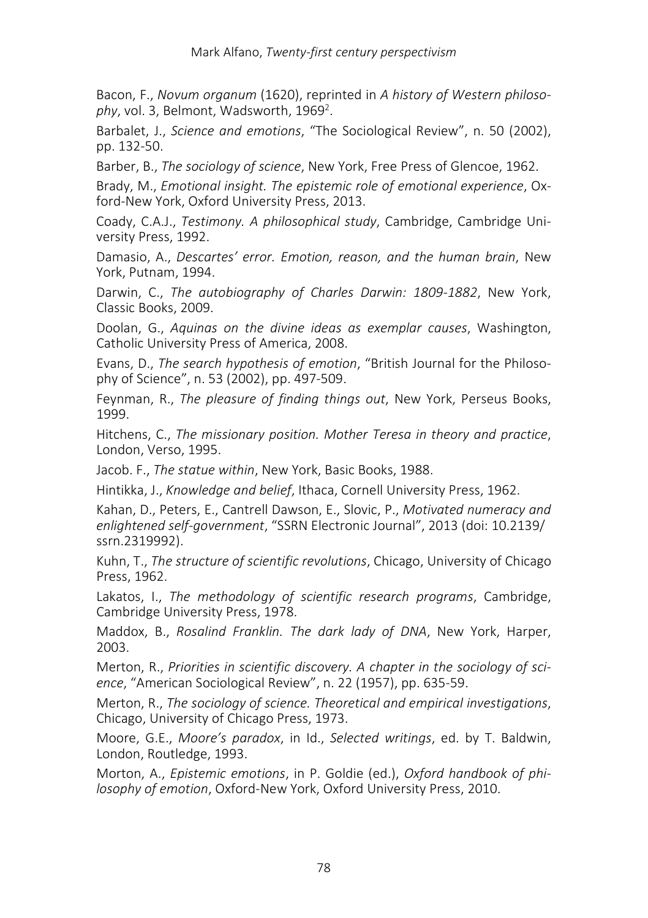Bacon, F., *Novum organum* (1620), reprinted in *A history of Western philoso*phy, vol. 3, Belmont, Wadsworth, 1969<sup>2</sup>.

Barbalet, J., *Science and emotions*, "The Sociological Review", n. 50 (2002), pp. 132-50.

Barber, B., *The sociology of science*, New York, Free Press of Glencoe, 1962.

Brady, M., *Emotional insight. The epistemic role of emotional experience*, Oxford-New York, Oxford University Press, 2013.

Coady, C.A.J., *Testimony. A philosophical study*, Cambridge, Cambridge University Press, 1992.

Damasio, A., *Descartes' error. Emotion, reason, and the human brain*, New York, Putnam, 1994.

Darwin, C., *The autobiography of Charles Darwin: 1809-1882*, New York, Classic Books, 2009.

Doolan, G., *Aquinas on the divine ideas as exemplar causes*, Washington, Catholic University Press of America, 2008.

Evans, D., *The search hypothesis of emotion*, "British Journal for the Philosophy of Science", n. 53 (2002), pp. 497-509.

Feynman, R., *The pleasure of finding things out*, New York, Perseus Books, 1999.

Hitchens, C., *The missionary position. Mother Teresa in theory and practice*, London, Verso, 1995.

Jacob. F., *The statue within*, New York, Basic Books, 1988.

Hintikka, J., *Knowledge and belief*, Ithaca, Cornell University Press, 1962.

Kahan, D., Peters, E., Cantrell Dawson, E., Slovic, P., *Motivated numeracy and enlightened self-government*, "SSRN Electronic Journal", 2013 (doi: 10.2139/ ssrn.2319992).

Kuhn, T., *The structure of scientific revolutions*, Chicago, University of Chicago Press, 1962.

Lakatos, I., *The methodology of scientific research programs*, Cambridge, Cambridge University Press, 1978.

Maddox, B., *Rosalind Franklin. The dark lady of DNA*, New York, Harper, 2003.

Merton, R., *Priorities in scientific discovery. A chapter in the sociology of science*, "American Sociological Review", n. 22 (1957), pp. 635-59.

Merton, R., *The sociology of science. Theoretical and empirical investigations*, Chicago, University of Chicago Press, 1973.

Moore, G.E., *Moore's paradox*, in Id., *Selected writings*, ed. by T. Baldwin, London, Routledge, 1993.

Morton, A., *Epistemic emotions*, in P. Goldie (ed.), *Oxford handbook of philosophy of emotion*, Oxford-New York, Oxford University Press, 2010.